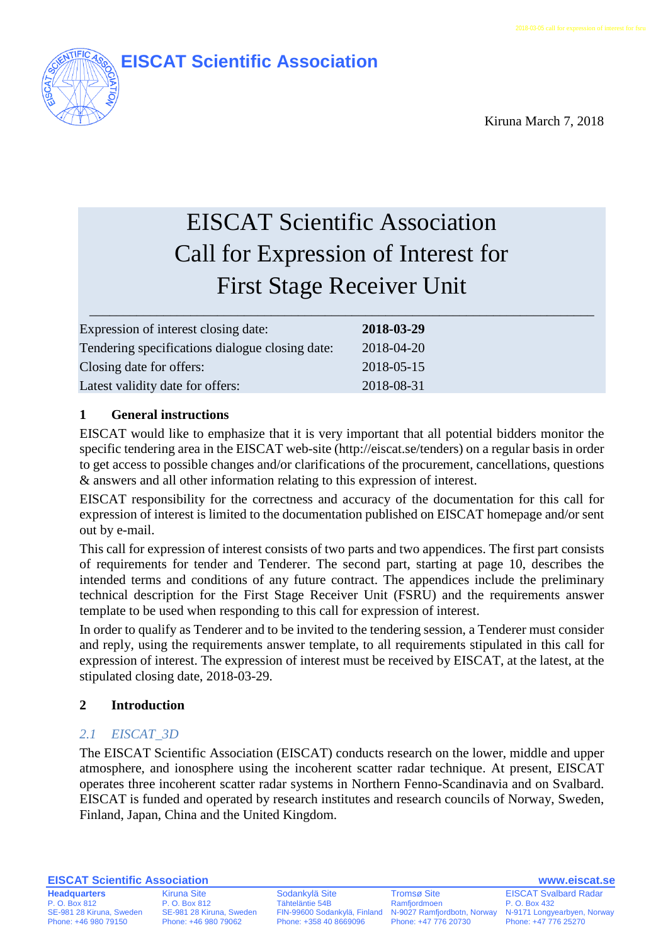

Kiruna March 7, 2018

# EISCAT Scientific Association Call for Expression of Interest for First Stage Receiver Unit

| Expression of interest closing date:            | 2018-03-29 |
|-------------------------------------------------|------------|
| Tendering specifications dialogue closing date: | 2018-04-20 |
| Closing date for offers:                        | 2018-05-15 |
| Latest validity date for offers:                | 2018-08-31 |

# **1 General instructions**

EISCAT would like to emphasize that it is very important that all potential bidders monitor the specific tendering area in the EISCAT web-site [\(http://eiscat.se/tenders\)](http://eiscat.se/tenders) on a regular basis in order to get access to possible changes and/or clarifications of the procurement, cancellations, questions & answers and all other information relating to this expression of interest.

EISCAT responsibility for the correctness and accuracy of the documentation for this call for expression of interest is limited to the documentation published on EISCAT homepage and/or sent out by e-mail.

This call for expression of interest consists of two parts and two appendices. The first part consists of requirements for tender and Tenderer. The second part, starting at page [10,](#page-9-0) describes the intended terms and conditions of any future contract. The appendices include the preliminary technical description for the First Stage Receiver Unit (FSRU) and the requirements answer template to be used when responding to this call for expression of interest.

In order to qualify as Tenderer and to be invited to the tendering session, a Tenderer must consider and reply, using the requirements answer template, to all requirements stipulated in this call for expression of interest. The expression of interest must be received by EISCAT, at the latest, at the stipulated closing date, 2018-03-29.

# **2 Introduction**

# *2.1 EISCAT\_3D*

The EISCAT Scientific Association (EISCAT) conducts research on the lower, middle and upper atmosphere, and ionosphere using the incoherent scatter radar technique. At present, EISCAT operates three incoherent scatter radar systems in Northern Fenno-Scandinavia and on Svalbard. EISCAT is funded and operated by research institutes and research councils of Norway, Sweden, Finland, Japan, China and the United Kingdom.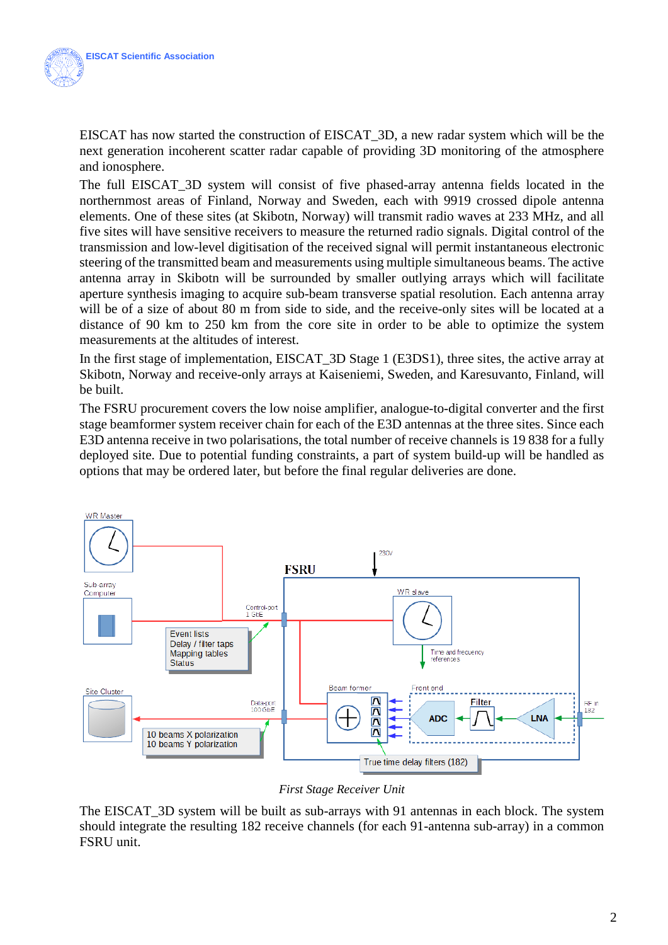EISCAT has now started the construction of EISCAT\_3D, a new radar system which will be the next generation incoherent scatter radar capable of providing 3D monitoring of the atmosphere and ionosphere.

The full EISCAT\_3D system will consist of five phased-array antenna fields located in the northernmost areas of Finland, Norway and Sweden, each with 9919 crossed dipole antenna elements. One of these sites (at Skibotn, Norway) will transmit radio waves at 233 MHz, and all five sites will have sensitive receivers to measure the returned radio signals. Digital control of the transmission and low-level digitisation of the received signal will permit instantaneous electronic steering of the transmitted beam and measurements using multiple simultaneous beams. The active antenna array in Skibotn will be surrounded by smaller outlying arrays which will facilitate aperture synthesis imaging to acquire sub-beam transverse spatial resolution. Each antenna array will be of a size of about 80 m from side to side, and the receive-only sites will be located at a distance of 90 km to 250 km from the core site in order to be able to optimize the system measurements at the altitudes of interest.

In the first stage of implementation, EISCAT\_3D Stage 1 (E3DS1), three sites, the active array at Skibotn, Norway and receive-only arrays at Kaiseniemi, Sweden, and Karesuvanto, Finland, will be built.

The FSRU procurement covers the low noise amplifier, analogue-to-digital converter and the first stage beamformer system receiver chain for each of the E3D antennas at the three sites. Since each E3D antenna receive in two polarisations, the total number of receive channels is 19 838 for a fully deployed site. Due to potential funding constraints, a part of system build-up will be handled as options that may be ordered later, but before the final regular deliveries are done.



*First Stage Receiver Unit*

The EISCAT\_3D system will be built as sub-arrays with 91 antennas in each block. The system should integrate the resulting 182 receive channels (for each 91-antenna sub-array) in a common FSRU unit.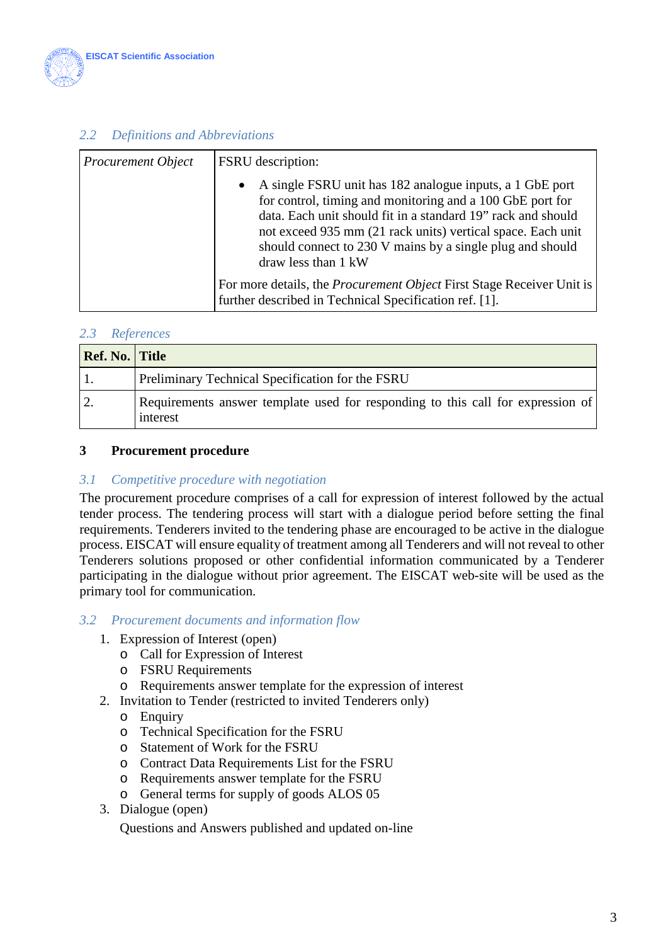

# *2.2 Definitions and Abbreviations*

| <b>Procurement Object</b> | FSRU description:                                                                                                                                                                                                                                                                                                                                     |  |
|---------------------------|-------------------------------------------------------------------------------------------------------------------------------------------------------------------------------------------------------------------------------------------------------------------------------------------------------------------------------------------------------|--|
|                           | A single FSRU unit has 182 analogue inputs, a 1 GbE port<br>$\bullet$<br>for control, timing and monitoring and a 100 GbE port for<br>data. Each unit should fit in a standard 19" rack and should<br>not exceed 935 mm (21 rack units) vertical space. Each unit<br>should connect to 230 V mains by a single plug and should<br>draw less than 1 kW |  |
|                           | For more details, the <i>Procurement Object</i> First Stage Receiver Unit is<br>further described in Technical Specification ref. [1].                                                                                                                                                                                                                |  |

#### *2.3 References*

| <b>Ref. No. Title</b> |                                                                                             |
|-----------------------|---------------------------------------------------------------------------------------------|
|                       | Preliminary Technical Specification for the FSRU                                            |
|                       | Requirements answer template used for responding to this call for expression of<br>interest |

#### **3 Procurement procedure**

#### *3.1 Competitive procedure with negotiation*

The procurement procedure comprises of a call for expression of interest followed by the actual tender process. The tendering process will start with a dialogue period before setting the final requirements. Tenderers invited to the tendering phase are encouraged to be active in the dialogue process. EISCAT will ensure equality of treatment among all Tenderers and will not reveal to other Tenderers solutions proposed or other confidential information communicated by a Tenderer participating in the dialogue without prior agreement. The EISCAT web-site will be used as the primary tool for communication.

#### *3.2 Procurement documents and information flow*

- 1. Expression of Interest (open)
	- o Call for Expression of Interest
	- o FSRU Requirements
	- o Requirements answer template for the expression of interest
- 2. Invitation to Tender (restricted to invited Tenderers only)
	- o Enquiry
	- o Technical Specification for the FSRU
	- o Statement of Work for the FSRU
	- o Contract Data Requirements List for the FSRU
	- o Requirements answer template for the FSRU
	- o General terms for supply of goods ALOS 05
- 3. Dialogue (open)

Questions and Answers published and updated on-line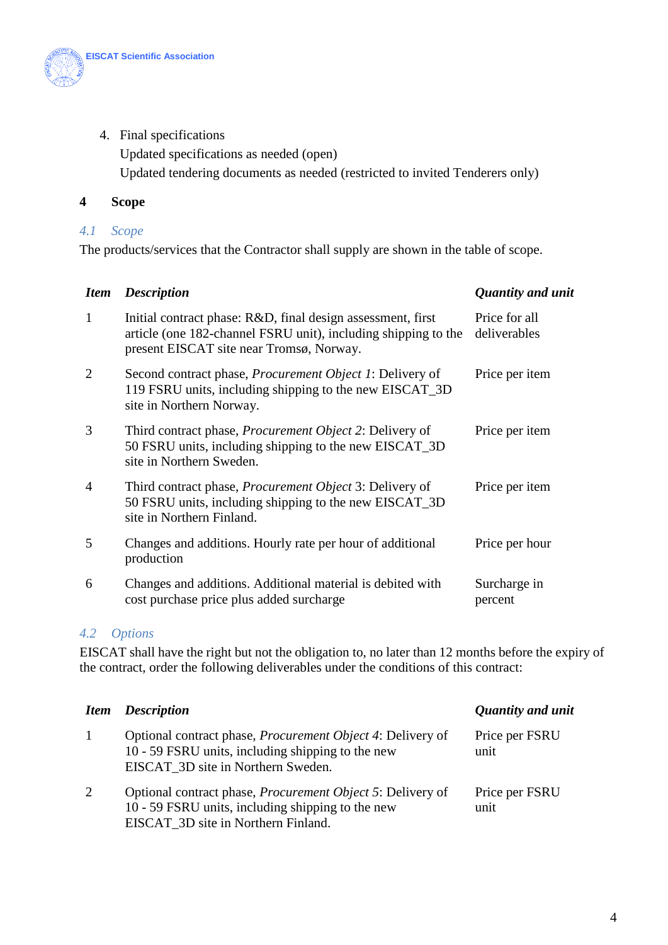

4. Final specifications

Updated specifications as needed (open)

Updated tendering documents as needed (restricted to invited Tenderers only)

## **4 Scope**

## *4.1 Scope*

The products/services that the Contractor shall supply are shown in the table of scope.

| <b>Item</b>    | <b>Description</b>                                                                                                                                                        | Quantity and unit             |
|----------------|---------------------------------------------------------------------------------------------------------------------------------------------------------------------------|-------------------------------|
| 1              | Initial contract phase: R&D, final design assessment, first<br>article (one 182-channel FSRU unit), including shipping to the<br>present EISCAT site near Tromsø, Norway. | Price for all<br>deliverables |
| $\overline{2}$ | Second contract phase, <i>Procurement Object 1</i> : Delivery of<br>119 FSRU units, including shipping to the new EISCAT_3D<br>site in Northern Norway.                   | Price per item                |
| 3              | Third contract phase, Procurement Object 2: Delivery of<br>50 FSRU units, including shipping to the new EISCAT_3D<br>site in Northern Sweden.                             | Price per item                |
| $\overline{4}$ | Third contract phase, <i>Procurement Object</i> 3: Delivery of<br>50 FSRU units, including shipping to the new EISCAT_3D<br>site in Northern Finland.                     | Price per item                |
| 5              | Changes and additions. Hourly rate per hour of additional<br>production                                                                                                   | Price per hour                |
| 6              | Changes and additions. Additional material is debited with<br>cost purchase price plus added surcharge                                                                    | Surcharge in<br>percent       |

# *4.2 Options*

EISCAT shall have the right but not the obligation to, no later than 12 months before the expiry of the contract, order the following deliverables under the conditions of this contract:

|    | <b>Item</b> Description                                                                                                                                        | <b>Quantity and unit</b> |
|----|----------------------------------------------------------------------------------------------------------------------------------------------------------------|--------------------------|
| -1 | Optional contract phase, <i>Procurement Object 4</i> : Delivery of<br>10 - 59 FSRU units, including shipping to the new<br>EISCAT 3D site in Northern Sweden.  | Price per FSRU<br>unit   |
| 2  | Optional contract phase, <i>Procurement Object 5</i> : Delivery of<br>10 - 59 FSRU units, including shipping to the new<br>EISCAT 3D site in Northern Finland. | Price per FSRU<br>unit   |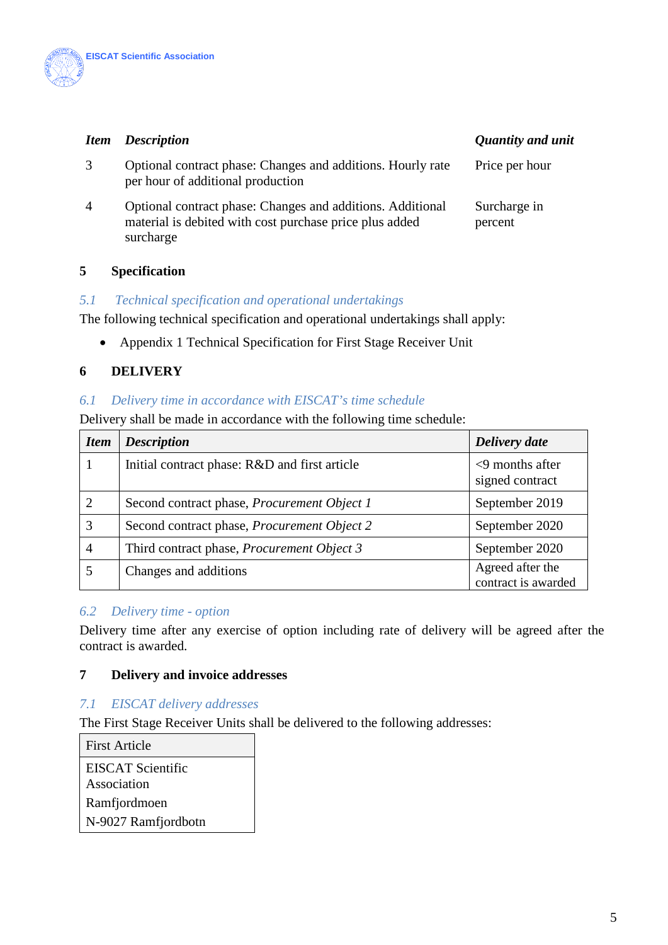

# *Item Description* **Quantity and unital** *Quantity and unital Quantity and Quantity and Quantity and Quantity and Quantity and Quantity and Quantity and Quantity and Quantity and Quantity and Quantity and Quantity and Qua*

| Quantity and unit |  |  |
|-------------------|--|--|
|                   |  |  |

| 3 | Optional contract phase: Changes and additions. Hourly rate<br>per hour of additional production                                   | Price per hour          |
|---|------------------------------------------------------------------------------------------------------------------------------------|-------------------------|
| 4 | Optional contract phase: Changes and additions. Additional<br>material is debited with cost purchase price plus added<br>surcharge | Surcharge in<br>percent |

## **5 Specification**

#### *5.1 Technical specification and operational undertakings*

The following technical specification and operational undertakings shall apply:

• Appendix 1 Technical Specification for First Stage Receiver Unit

# **6 DELIVERY**

#### *6.1 Delivery time in accordance with EISCAT's time schedule*

Delivery shall be made in accordance with the following time schedule:

| <b>Item</b>    | <b>Description</b>                                 | Delivery date                           |
|----------------|----------------------------------------------------|-----------------------------------------|
|                | Initial contract phase: R&D and first article      | $<$ 9 months after<br>signed contract   |
|                | Second contract phase, <i>Procurement Object 1</i> | September 2019                          |
|                | Second contract phase, <i>Procurement Object 2</i> | September 2020                          |
| $\overline{4}$ | Third contract phase, <i>Procurement Object 3</i>  | September 2020                          |
|                | Changes and additions                              | Agreed after the<br>contract is awarded |

#### *6.2 Delivery time - option*

Delivery time after any exercise of option including rate of delivery will be agreed after the contract is awarded.

#### **7 Delivery and invoice addresses**

#### *7.1 EISCAT delivery addresses*

The First Stage Receiver Units shall be delivered to the following addresses:

First Article EISCAT Scientific Association Ramfjordmoen N-9027 Ramfjordbotn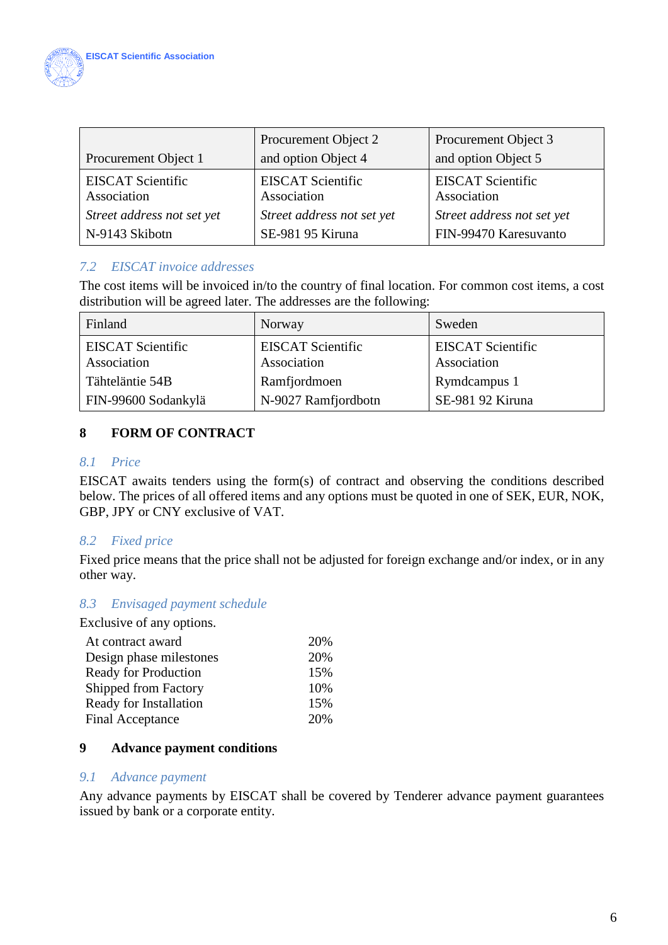

| Procurement Object 1                    | Procurement Object 2<br>and option Object 4 | Procurement Object 3<br>and option Object 5 |
|-----------------------------------------|---------------------------------------------|---------------------------------------------|
| <b>EISCAT Scientific</b><br>Association | <b>EISCAT Scientific</b><br>Association     | <b>EISCAT Scientific</b><br>Association     |
| Street address not set yet              | Street address not set yet                  | Street address not set yet                  |
| N-9143 Skibotn                          | SE-981 95 Kiruna                            | FIN-99470 Karesuvanto                       |

# *7.2 EISCAT invoice addresses*

The cost items will be invoiced in/to the country of final location. For common cost items, a cost distribution will be agreed later. The addresses are the following:

| Finland                                 | Norway                                  | Sweden                                  |
|-----------------------------------------|-----------------------------------------|-----------------------------------------|
| <b>EISCAT Scientific</b><br>Association | <b>EISCAT Scientific</b><br>Association | <b>EISCAT Scientific</b><br>Association |
| Tähteläntie 54B                         | Ramfjordmoen                            | Rymdcampus 1                            |
| FIN-99600 Sodankylä                     | N-9027 Ramfjordbotn                     | SE-981 92 Kiruna                        |

# **8 FORM OF CONTRACT**

#### *8.1 Price*

EISCAT awaits tenders using the form(s) of contract and observing the conditions described below. The prices of all offered items and any options must be quoted in one of SEK, EUR, NOK, GBP, JPY or CNY exclusive of VAT.

# *8.2 Fixed price*

Fixed price means that the price shall not be adjusted for foreign exchange and/or index, or in any other way.

# *8.3 Envisaged payment schedule*

Exclusive of any options.

| 20% |
|-----|
| 20% |
| 15% |
| 10% |
| 15% |
| 20% |
|     |

# **9 Advance payment conditions**

#### *9.1 Advance payment*

Any advance payments by EISCAT shall be covered by Tenderer advance payment guarantees issued by bank or a corporate entity.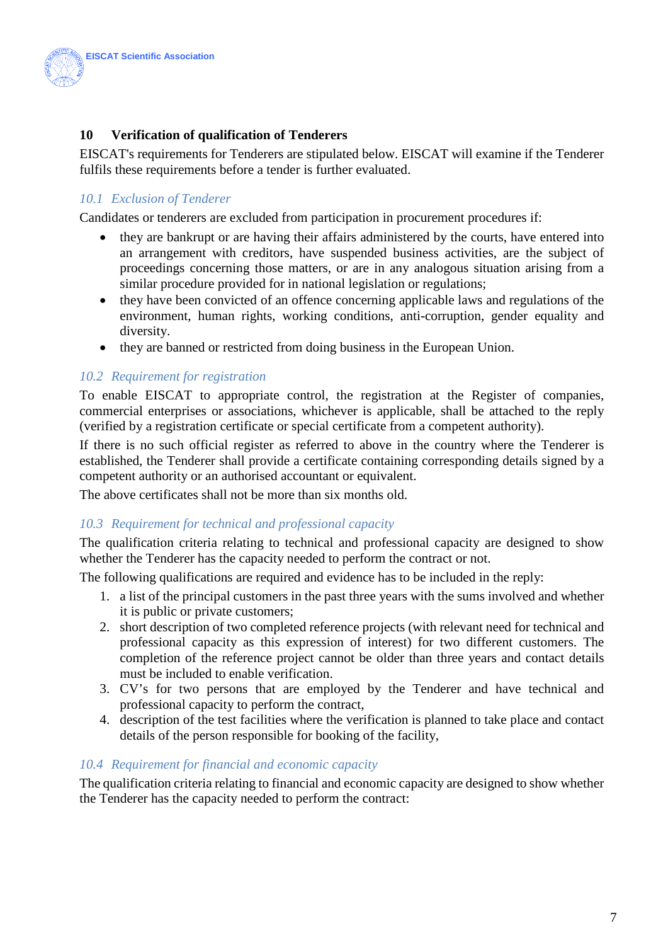

# **10 Verification of qualification of Tenderers**

EISCAT's requirements for Tenderers are stipulated below. EISCAT will examine if the Tenderer fulfils these requirements before a tender is further evaluated.

# *10.1 Exclusion of Tenderer*

Candidates or tenderers are excluded from participation in procurement procedures if:

- they are bankrupt or are having their affairs administered by the courts, have entered into an arrangement with creditors, have suspended business activities, are the subject of proceedings concerning those matters, or are in any analogous situation arising from a similar procedure provided for in national legislation or regulations;
- they have been convicted of an offence concerning applicable laws and regulations of the environment, human rights, working conditions, anti-corruption, gender equality and diversity.
- they are banned or restricted from doing business in the European Union.

#### *10.2 Requirement for registration*

To enable EISCAT to appropriate control, the registration at the Register of companies, commercial enterprises or associations, whichever is applicable, shall be attached to the reply (verified by a registration certificate or special certificate from a competent authority).

If there is no such official register as referred to above in the country where the Tenderer is established, the Tenderer shall provide a certificate containing corresponding details signed by a competent authority or an authorised accountant or equivalent.

The above certificates shall not be more than six months old.

#### *10.3 Requirement for technical and professional capacity*

The qualification criteria relating to technical and professional capacity are designed to show whether the Tenderer has the capacity needed to perform the contract or not.

The following qualifications are required and evidence has to be included in the reply:

- 1. a list of the principal customers in the past three years with the sums involved and whether it is public or private customers;
- 2. short description of two completed reference projects (with relevant need for technical and professional capacity as this expression of interest) for two different customers. The completion of the reference project cannot be older than three years and contact details must be included to enable verification.
- 3. CV's for two persons that are employed by the Tenderer and have technical and professional capacity to perform the contract,
- 4. description of the test facilities where the verification is planned to take place and contact details of the person responsible for booking of the facility,

#### *10.4 Requirement for financial and economic capacity*

The qualification criteria relating to financial and economic capacity are designed to show whether the Tenderer has the capacity needed to perform the contract: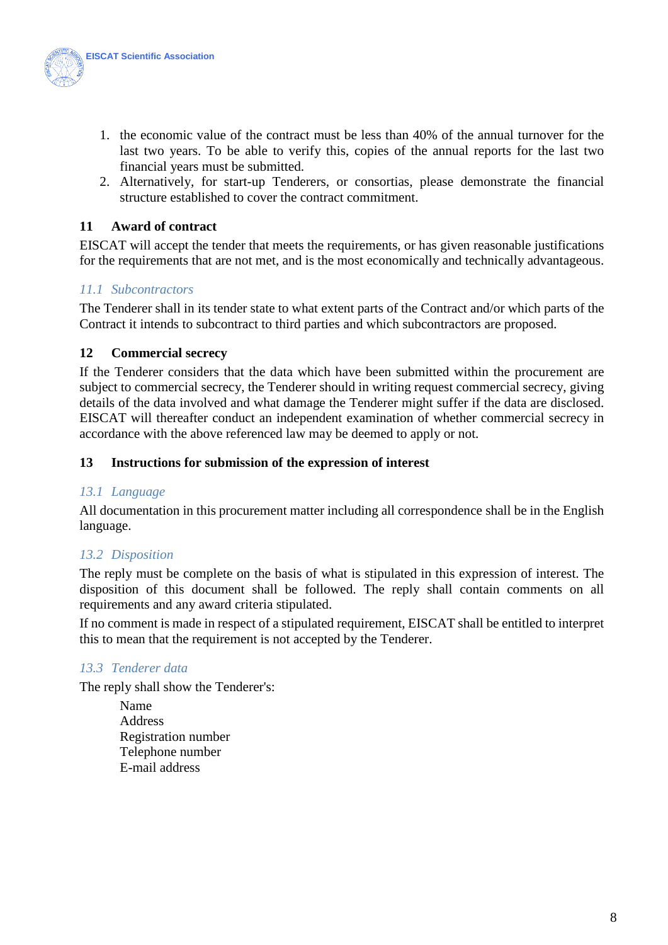

- 1. the economic value of the contract must be less than 40% of the annual turnover for the last two years. To be able to verify this, copies of the annual reports for the last two financial years must be submitted.
- 2. Alternatively, for start-up Tenderers, or consortias, please demonstrate the financial structure established to cover the contract commitment.

# **11 Award of contract**

EISCAT will accept the tender that meets the requirements, or has given reasonable justifications for the requirements that are not met, and is the most economically and technically advantageous.

# *11.1 Subcontractors*

The Tenderer shall in its tender state to what extent parts of the Contract and/or which parts of the Contract it intends to subcontract to third parties and which subcontractors are proposed.

# **12 Commercial secrecy**

If the Tenderer considers that the data which have been submitted within the procurement are subject to commercial secrecy, the Tenderer should in writing request commercial secrecy, giving details of the data involved and what damage the Tenderer might suffer if the data are disclosed. EISCAT will thereafter conduct an independent examination of whether commercial secrecy in accordance with the above referenced law may be deemed to apply or not.

#### **13 Instructions for submission of the expression of interest**

# *13.1 Language*

All documentation in this procurement matter including all correspondence shall be in the English language.

# *13.2 Disposition*

The reply must be complete on the basis of what is stipulated in this expression of interest. The disposition of this document shall be followed. The reply shall contain comments on all requirements and any award criteria stipulated.

If no comment is made in respect of a stipulated requirement, EISCAT shall be entitled to interpret this to mean that the requirement is not accepted by the Tenderer.

# *13.3 Tenderer data*

The reply shall show the Tenderer's:

Name Address Registration number Telephone number E-mail address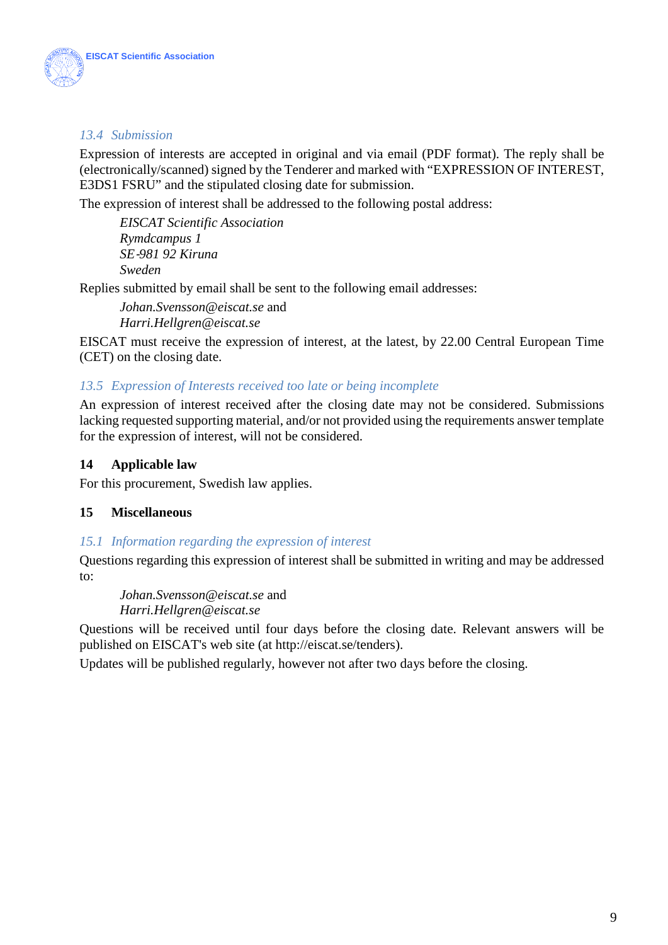

# *13.4 Submission*

Expression of interests are accepted in original and via email (PDF format). The reply shall be (electronically/scanned) signed by the Tenderer and marked with "EXPRESSION OF INTEREST, E3DS1 FSRU" and the stipulated closing date for submission.

The expression of interest shall be addressed to the following postal address:

*EISCAT Scientific Association Rymdcampus 1 SE*‐*981 92 Kiruna Sweden* 

Replies submitted by email shall be sent to the following email addresses:

*Johan.Svensson@eiscat.se* and *Harri.Hellgren@eiscat.se*

EISCAT must receive the expression of interest, at the latest, by 22.00 Central European Time (CET) on the closing date.

# *13.5 Expression of Interests received too late or being incomplete*

An expression of interest received after the closing date may not be considered. Submissions lacking requested supporting material, and/or not provided using the requirements answer template for the expression of interest, will not be considered.

## **14 Applicable law**

For this procurement, Swedish law applies.

# **15 Miscellaneous**

#### *15.1 Information regarding the expression of interest*

Questions regarding this expression of interest shall be submitted in writing and may be addressed to:

*Johan.Svensson@eiscat.se* and *Harri.Hellgren@eiscat.se*

Questions will be received until four days before the closing date. Relevant answers will be published on EISCAT's web site (at [http://eiscat.se/tenders\)](http://eiscat.se/tenders).

Updates will be published regularly, however not after two days before the closing.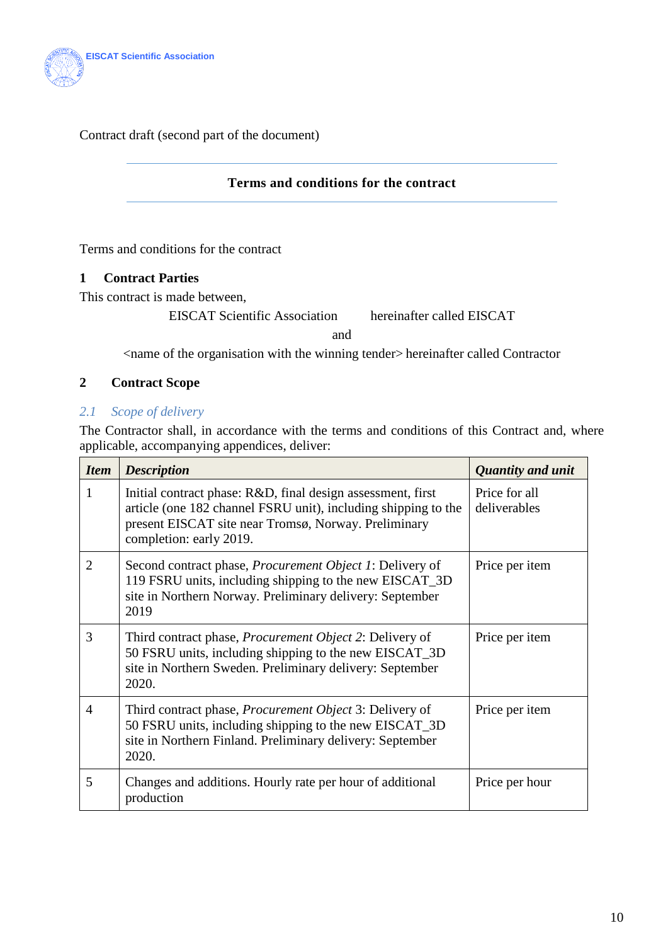

Contract draft (second part of the document)

## **Terms and conditions for the contract**

<span id="page-9-0"></span>Terms and conditions for the contract

# **1 Contract Parties**

This contract is made between,

EISCAT Scientific Association hereinafter called EISCAT

and

<name of the organisation with the winning tender> hereinafter called Contractor

# **2 Contract Scope**

# *2.1 Scope of delivery*

The Contractor shall, in accordance with the terms and conditions of this Contract and, where applicable, accompanying appendices, deliver:

| <b>Item</b>    | <b>Description</b>                                                                                                                                                                                               | <b>Quantity and unit</b>      |
|----------------|------------------------------------------------------------------------------------------------------------------------------------------------------------------------------------------------------------------|-------------------------------|
| 1              | Initial contract phase: R&D, final design assessment, first<br>article (one 182 channel FSRU unit), including shipping to the<br>present EISCAT site near Tromsø, Norway. Preliminary<br>completion: early 2019. | Price for all<br>deliverables |
| $\overline{2}$ | Second contract phase, <i>Procurement Object 1</i> : Delivery of<br>119 FSRU units, including shipping to the new EISCAT_3D<br>site in Northern Norway. Preliminary delivery: September<br>2019                  | Price per item                |
| 3              | Third contract phase, Procurement Object 2: Delivery of<br>50 FSRU units, including shipping to the new EISCAT_3D<br>site in Northern Sweden. Preliminary delivery: September<br>2020.                           | Price per item                |
| $\overline{4}$ | Third contract phase, <i>Procurement Object</i> 3: Delivery of<br>50 FSRU units, including shipping to the new EISCAT_3D<br>site in Northern Finland. Preliminary delivery: September<br>2020.                   | Price per item                |
| 5              | Changes and additions. Hourly rate per hour of additional<br>production                                                                                                                                          | Price per hour                |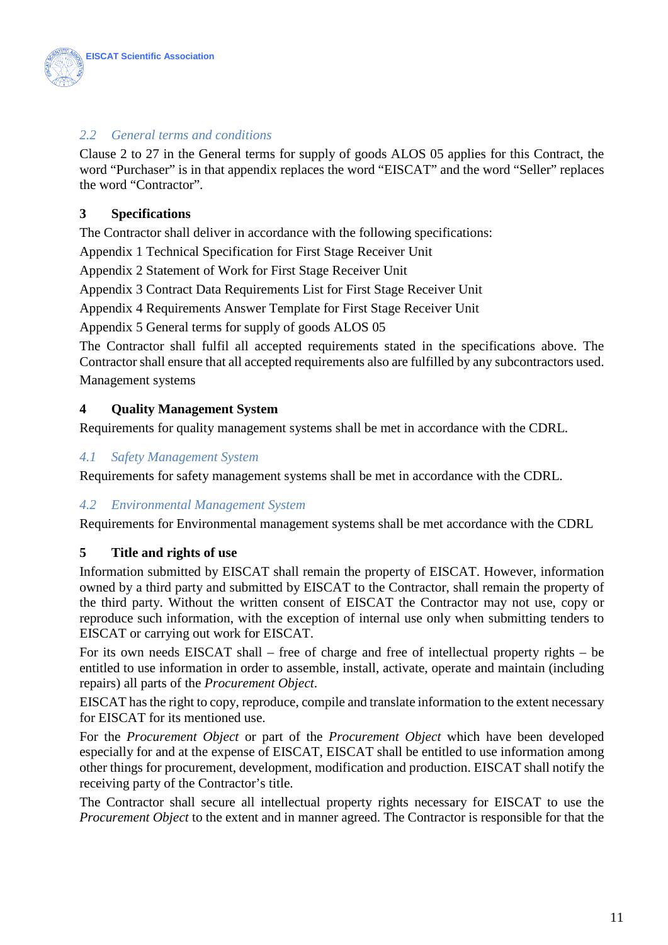

# *2.2 General terms and conditions*

Clause 2 to 27 in the General terms for supply of goods ALOS 05 applies for this Contract, the word "Purchaser" is in that appendix replaces the word "EISCAT" and the word "Seller" replaces the word "Contractor".

# **3 Specifications**

The Contractor shall deliver in accordance with the following specifications:

Appendix 1 Technical Specification for First Stage Receiver Unit

Appendix 2 Statement of Work for First Stage Receiver Unit

Appendix 3 Contract Data Requirements List for First Stage Receiver Unit

Appendix 4 Requirements Answer Template for First Stage Receiver Unit

Appendix 5 General terms for supply of goods ALOS 05

The Contractor shall fulfil all accepted requirements stated in the specifications above. The Contractor shall ensure that all accepted requirements also are fulfilled by any subcontractors used. Management systems

# **4 Quality Management System**

Requirements for quality management systems shall be met in accordance with the CDRL.

# *4.1 Safety Management System*

Requirements for safety management systems shall be met in accordance with the CDRL.

# *4.2 Environmental Management System*

Requirements for Environmental management systems shall be met accordance with the CDRL

# **5 Title and rights of use**

Information submitted by EISCAT shall remain the property of EISCAT. However, information owned by a third party and submitted by EISCAT to the Contractor, shall remain the property of the third party. Without the written consent of EISCAT the Contractor may not use, copy or reproduce such information, with the exception of internal use only when submitting tenders to EISCAT or carrying out work for EISCAT.

For its own needs EISCAT shall – free of charge and free of intellectual property rights – be entitled to use information in order to assemble, install, activate, operate and maintain (including repairs) all parts of the *Procurement Object*.

EISCAT has the right to copy, reproduce, compile and translate information to the extent necessary for EISCAT for its mentioned use.

For the *Procurement Object* or part of the *Procurement Object* which have been developed especially for and at the expense of EISCAT, EISCAT shall be entitled to use information among other things for procurement, development, modification and production. EISCAT shall notify the receiving party of the Contractor's title.

The Contractor shall secure all intellectual property rights necessary for EISCAT to use the *Procurement Object* to the extent and in manner agreed. The Contractor is responsible for that the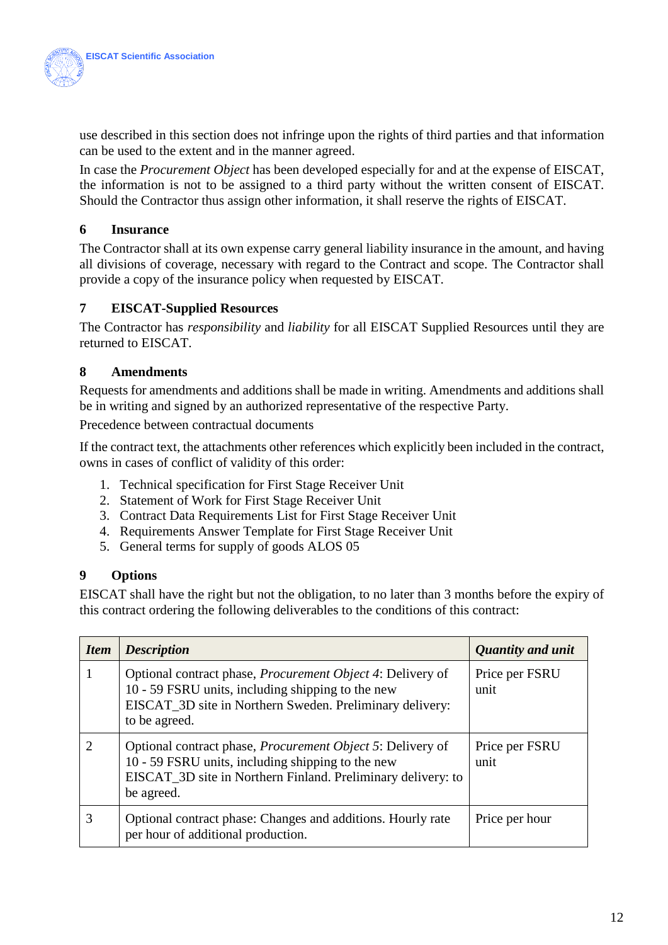

use described in this section does not infringe upon the rights of third parties and that information can be used to the extent and in the manner agreed.

In case the *Procurement Object* has been developed especially for and at the expense of EISCAT, the information is not to be assigned to a third party without the written consent of EISCAT. Should the Contractor thus assign other information, it shall reserve the rights of EISCAT.

# **6 Insurance**

The Contractor shall at its own expense carry general liability insurance in the amount, and having all divisions of coverage, necessary with regard to the Contract and scope. The Contractor shall provide a copy of the insurance policy when requested by EISCAT.

# **7 EISCAT-Supplied Resources**

The Contractor has *responsibility* and *liability* for all EISCAT Supplied Resources until they are returned to EISCAT.

# **8 Amendments**

Requests for amendments and additions shall be made in writing. Amendments and additions shall be in writing and signed by an authorized representative of the respective Party.

Precedence between contractual documents

If the contract text, the attachments other references which explicitly been included in the contract, owns in cases of conflict of validity of this order:

- 1. Technical specification for First Stage Receiver Unit
- 2. Statement of Work for First Stage Receiver Unit
- 3. Contract Data Requirements List for First Stage Receiver Unit
- 4. Requirements Answer Template for First Stage Receiver Unit
- 5. General terms for supply of goods ALOS 05

# **9 Options**

EISCAT shall have the right but not the obligation, to no later than 3 months before the expiry of this contract ordering the following deliverables to the conditions of this contract:

| <b>Item</b> | <b>Description</b>                                                                                                                                                                                    | Quantity and unit      |
|-------------|-------------------------------------------------------------------------------------------------------------------------------------------------------------------------------------------------------|------------------------|
|             | Optional contract phase, <i>Procurement Object 4</i> : Delivery of<br>10 - 59 FSRU units, including shipping to the new<br>EISCAT_3D site in Northern Sweden. Preliminary delivery:<br>to be agreed.  | Price per FSRU<br>unit |
|             | Optional contract phase, <i>Procurement Object 5</i> : Delivery of<br>10 - 59 FSRU units, including shipping to the new<br>EISCAT_3D site in Northern Finland. Preliminary delivery: to<br>be agreed. | Price per FSRU<br>unit |
|             | Optional contract phase: Changes and additions. Hourly rate<br>per hour of additional production.                                                                                                     | Price per hour         |